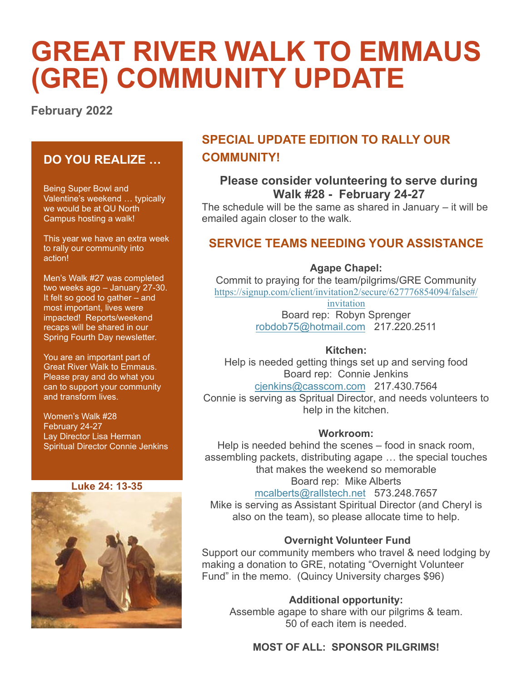# **GREAT RIVER WALK TO EMMAUS (GRE) COMMUNITY UPDATE**

**February 2022**

## **DO YOU REALIZE …**

Being Super Bowl and Valentine's weekend … typically we would be at QU North Campus hosting a walk!

This year we have an extra week to rally our community into action!

Men's Walk #27 was completed two weeks ago – January 27-30. It felt so good to gather – and most important, lives were impacted! Reports/weekend recaps will be shared in our Spring Fourth Day newsletter.

You are an important part of Great River Walk to Emmaus. Please pray and do what you can to support your community and transform lives.

Women's Walk #28 February 24-27 Lay Director Lisa Herman Spiritual Director Connie Jenkins

#### **Luke 24: 13-35**



## **SPECIAL UPDATE EDITION TO RALLY OUR COMMUNITY!**

## **Please consider volunteering to serve during Walk #28 - February 24-27**

The schedule will be the same as shared in January – it will be emailed again closer to the walk.

### **SERVICE TEAMS NEEDING YOUR ASSISTANCE**

**Agape Chapel:**

Commit to praying for the team/pilgrims/GRE Community https://signup.co[m/client/invitation2/secure/627776](https://signup.com/go/MSOaTki?fbclid=IwAR2blRQDSRYz94hznAjKjsyB9RNK2CYUncXRs8FsjkHt4t_zQNUXWpJlxUo)854094/false#/

> invitation [Board rep: Robyn S](mailto:robdob75@hotmail.com)prenger robdob75@hotmail.com 217.220.2511

#### **Kitchen:**

Help is needed getting things set up and serving food [Board rep: Connie](mailto:cjenkins@casscom.com) Jenkins cjenkins@casscom.com 217.430.7564 Connie is serving as Spritual Director, and needs volunteers to help in the kitchen.

#### **Workroom:**

Help is needed behind the scenes – food in snack room, assembling packets, distributing agape … the special touches that makes the weekend so memorable [Board rep: Mike A](mailto:mcalberts@rallstech.net)lberts

mcalberts@rallstech.net 573.248.7657 Mike is serving as Assistant Spiritual Director (and Cheryl is also on the team), so please allocate time to help.

#### **Overnight Volunteer Fund**

Support our community members who travel & need lodging by making a donation to GRE, notating "Overnight Volunteer Fund" in the memo. (Quincy University charges \$96)

#### **Additional opportunity:**

Assemble agape to share with our pilgrims & team. 50 of each item is needed.

#### **MOST OF ALL: SPONSOR PILGRIMS!**